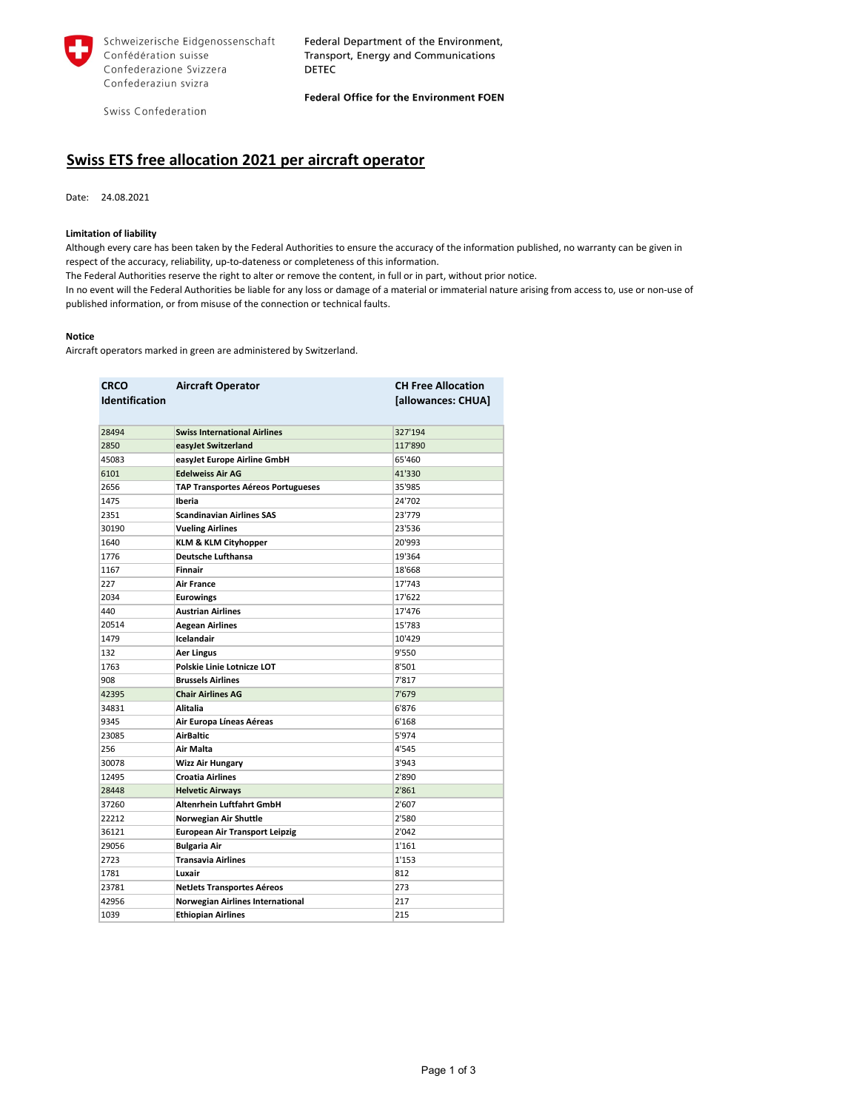

Schweizerische Eidgenossenschaft Confédération suisse Confederazione Svizzera Confederaziun svizra

Federal Department of the Environment, Transport, Energy and Communications **DETEC** 

Swiss Confederation

Federal Office for the Environment FOEN

## **Swiss ETS free allocation 2021 per aircraft operator**

Date: 24.08.2021

## **Limitation of liability**

Although every care has been taken by the Federal Authorities to ensure the accuracy of the information published, no warranty can be given in respect of the accuracy, reliability, up-to-dateness or completeness of this information.

The Federal Authorities reserve the right to alter or remove the content, in full or in part, without prior notice.

In no event will the Federal Authorities be liable for any loss or damage of a material or immaterial nature arising from access to, use or non-use of published information, or from misuse of the connection or technical faults.

## **Notice**

Aircraft operators marked in green are administered by Switzerland.

| <b>CRCO</b><br><b>Identification</b> | <b>Aircraft Operator</b>                  | <b>CH Free Allocation</b><br>[allowances: CHUA] |
|--------------------------------------|-------------------------------------------|-------------------------------------------------|
| 28494                                | <b>Swiss International Airlines</b>       | 327'194                                         |
| 2850                                 | easyJet Switzerland                       | 117'890                                         |
| 45083                                | easyJet Europe Airline GmbH               | 65'460                                          |
| 6101                                 | <b>Edelweiss Air AG</b>                   | 41'330                                          |
| 2656                                 | <b>TAP Transportes Aéreos Portugueses</b> | 35'985                                          |
| 1475                                 | Iberia                                    | 24'702                                          |
| 2351                                 | <b>Scandinavian Airlines SAS</b>          | 23'779                                          |
| 30190                                | <b>Vueling Airlines</b>                   | 23'536                                          |
| 1640                                 | <b>KLM &amp; KLM Cityhopper</b>           | 20'993                                          |
| 1776                                 | <b>Deutsche Lufthansa</b>                 | 19'364                                          |
| 1167                                 | <b>Finnair</b>                            | 18'668                                          |
| 227                                  | <b>Air France</b>                         | 17'743                                          |
| 2034                                 | <b>Eurowings</b>                          | 17'622                                          |
| 440                                  | <b>Austrian Airlines</b>                  | 17'476                                          |
| 20514                                | <b>Aegean Airlines</b>                    | 15'783                                          |
| 1479                                 | <b>Icelandair</b>                         | 10'429                                          |
| 132                                  | Aer Lingus                                | 9'550                                           |
| 1763                                 | <b>Polskie Linie Lotnicze LOT</b>         | 8'501                                           |
| 908                                  | <b>Brussels Airlines</b>                  | 7'817                                           |
| 42395                                | <b>Chair Airlines AG</b>                  | 7'679                                           |
| 34831                                | Alitalia                                  | 6'876                                           |
| 9345                                 | Air Europa Líneas Aéreas                  | 6'168                                           |
| 23085                                | <b>AirBaltic</b>                          | 5'974                                           |
| 256                                  | Air Malta                                 | 4'545                                           |
| 30078                                | <b>Wizz Air Hungary</b>                   | 3'943                                           |
| 12495                                | <b>Croatia Airlines</b>                   | 2'890                                           |
| 28448                                | <b>Helvetic Airways</b>                   | 2'861                                           |
| 37260                                | Altenrhein Luftfahrt GmbH                 | 2'607                                           |
| 22212                                | <b>Norwegian Air Shuttle</b>              | 2'580                                           |
| 36121                                | <b>European Air Transport Leipzig</b>     | 2'042                                           |
| 29056                                | <b>Bulgaria Air</b>                       | 1'161                                           |
| 2723                                 | <b>Transavia Airlines</b>                 | 1'153                                           |
| 1781                                 | Luxair                                    | 812                                             |
| 23781                                | <b>NetJets Transportes Aéreos</b>         | 273                                             |
| 42956                                | <b>Norwegian Airlines International</b>   | 217                                             |
| 1039                                 | <b>Ethiopian Airlines</b>                 | 215                                             |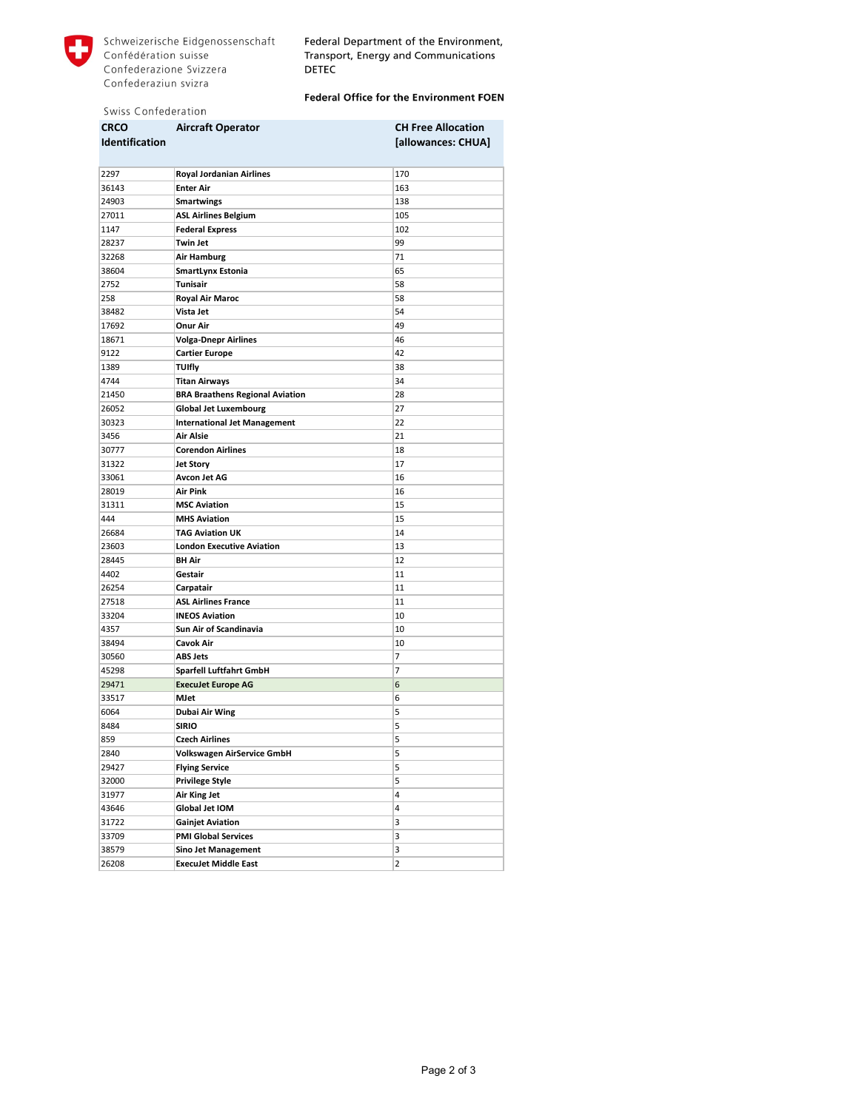

Federal Department of the Environment, Transport, Energy and Communications **DETEC** 

## Federal Office for the Environment FOEN

|  | Swiss Confederation |
|--|---------------------|
|  |                     |

| <b>CRCO</b>           | <b>Aircraft Operator</b>               | <b>CH Free Allocation</b> |
|-----------------------|----------------------------------------|---------------------------|
| <b>Identification</b> |                                        | [allowances: CHUA]        |
|                       |                                        |                           |
| 2297                  | <b>Royal Jordanian Airlines</b>        | 170                       |
| 36143                 | <b>Enter Air</b>                       | 163                       |
| 24903                 | <b>Smartwings</b>                      | 138                       |
| 27011                 | <b>ASL Airlines Belgium</b>            | 105                       |
| 1147                  | <b>Federal Express</b>                 | 102                       |
| 28237                 | Twin Jet                               | 99                        |
| 32268                 | <b>Air Hamburg</b>                     | 71                        |
| 38604                 | <b>SmartLynx Estonia</b>               | 65                        |
| 2752                  | Tunisair                               | 58                        |
| 258                   | <b>Royal Air Maroc</b>                 | 58                        |
| 38482                 | Vista Jet                              | 54                        |
| 17692                 | <b>Onur Air</b>                        | 49                        |
| 18671                 | <b>Volga-Dnepr Airlines</b>            | 46                        |
| 9122                  | <b>Cartier Europe</b>                  | 42                        |
| 1389                  | <b>TUIfly</b>                          | 38                        |
| 4744                  |                                        | 34                        |
|                       | <b>Titan Airways</b>                   |                           |
| 21450                 | <b>BRA Braathens Regional Aviation</b> | 28                        |
| 26052                 | <b>Global Jet Luxembourg</b>           | 27                        |
| 30323                 | <b>International Jet Management</b>    | 22                        |
| 3456                  | <b>Air Alsie</b>                       | 21                        |
| 30777                 | <b>Corendon Airlines</b>               | 18                        |
| 31322                 | <b>Jet Story</b>                       | 17                        |
| 33061                 | <b>Avcon Jet AG</b>                    | 16                        |
| 28019                 | Air Pink                               | 16                        |
| 31311                 | <b>MSC Aviation</b>                    | 15                        |
| 444                   | <b>MHS Aviation</b>                    | 15                        |
| 26684                 | <b>TAG Aviation UK</b>                 | 14                        |
| 23603                 | <b>London Executive Aviation</b>       | 13                        |
| 28445                 | <b>BH Air</b>                          | 12                        |
| 4402                  | Gestair                                | 11                        |
| 26254                 | Carpatair                              | 11                        |
| 27518                 | <b>ASL Airlines France</b>             | 11                        |
| 33204                 | <b>INEOS Aviation</b>                  | 10                        |
| 4357                  | Sun Air of Scandinavia                 | 10                        |
| 38494                 | Cavok Air                              | 10                        |
| 30560                 | <b>ABS Jets</b>                        | 7                         |
| 45298                 | Sparfell Luftfahrt GmbH                | 7                         |
| 29471                 | <b>Execulet Europe AG</b>              | 6                         |
| 33517                 | MJet                                   | 6                         |
| 6064                  | <b>Dubai Air Wing</b>                  | 5                         |
| 8484                  | <b>SIRIO</b>                           | 5                         |
| 859                   | <b>Czech Airlines</b>                  | 5                         |
| 2840                  | <b>Volkswagen AirService GmbH</b>      | 5                         |
| 29427                 | <b>Flying Service</b>                  | 5                         |
| 32000                 | <b>Privilege Style</b>                 | 5                         |
| 31977                 | <b>Air King Jet</b>                    | 4                         |
| 43646                 | Global Jet IOM                         | 4                         |
| 31722                 | <b>Gainjet Aviation</b>                | 3                         |
| 33709                 | <b>PMI Global Services</b>             | 3                         |
| 38579                 | <b>Sino Jet Management</b>             | 3                         |
| 26208                 | <b>Execulet Middle East</b>            | 2                         |